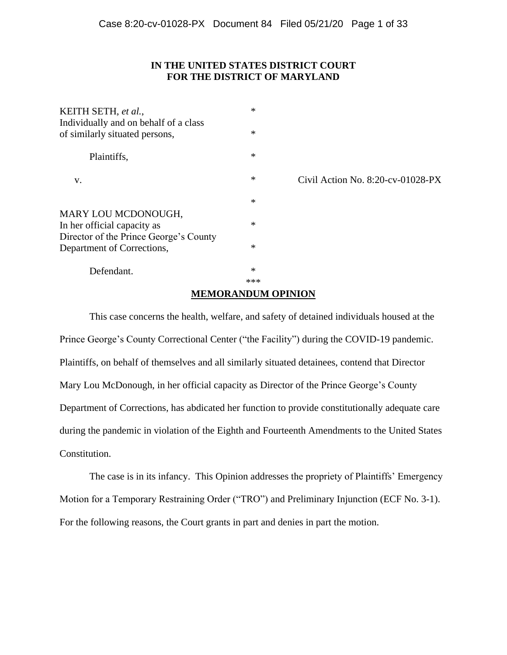# **IN THE UNITED STATES DISTRICT COURT FOR THE DISTRICT OF MARYLAND**

| KEITH SETH, et al.,<br>Individually and on behalf of a class<br>of similarly situated persons, | $\ast$<br>$\ast$ |                                      |
|------------------------------------------------------------------------------------------------|------------------|--------------------------------------|
|                                                                                                |                  |                                      |
| Plaintiffs,                                                                                    | $\ast$           |                                      |
| V.                                                                                             | $\ast$           | Civil Action No. $8:20$ -cv-01028-PX |
|                                                                                                | $\ast$           |                                      |
| MARY LOU MCDONOUGH,<br>In her official capacity as<br>Director of the Prince George's County   | $\ast$           |                                      |
| Department of Corrections,                                                                     | $\ast$           |                                      |
| Defendant.                                                                                     | $\ast$<br>***    |                                      |

# **MEMORANDUM OPINION**

This case concerns the health, welfare, and safety of detained individuals housed at the Prince George's County Correctional Center ("the Facility") during the COVID-19 pandemic. Plaintiffs, on behalf of themselves and all similarly situated detainees, contend that Director Mary Lou McDonough, in her official capacity as Director of the Prince George's County Department of Corrections, has abdicated her function to provide constitutionally adequate care during the pandemic in violation of the Eighth and Fourteenth Amendments to the United States Constitution.

The case is in its infancy. This Opinion addresses the propriety of Plaintiffs' Emergency Motion for a Temporary Restraining Order ("TRO") and Preliminary Injunction (ECF No. 3-1). For the following reasons, the Court grants in part and denies in part the motion.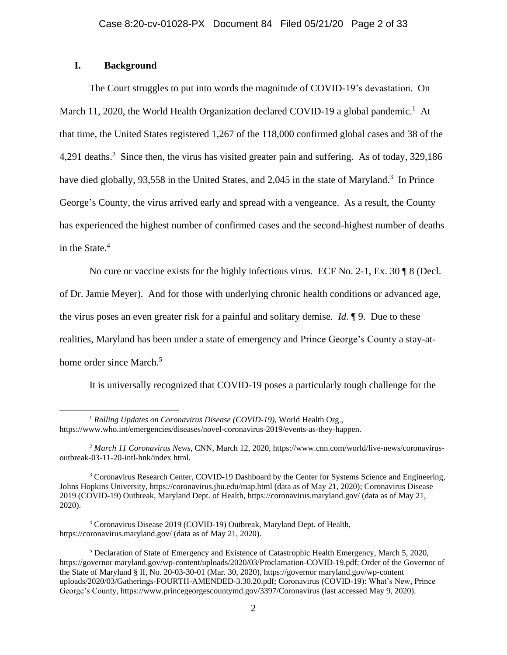# **I. Background**

The Court struggles to put into words the magnitude of COVID-19's devastation. On March 11, 2020, the World Health Organization declared COVID-19 a global pandemic.<sup>1</sup> At that time, the United States registered 1,267 of the 118,000 confirmed global cases and 38 of the 4,291 deaths.<sup>2</sup> Since then, the virus has visited greater pain and suffering. As of today, 329,186 have died globally, 93,558 in the United States, and 2,045 in the state of Maryland.<sup>3</sup> In Prince George's County, the virus arrived early and spread with a vengeance. As a result, the County has experienced the highest number of confirmed cases and the second-highest number of deaths in the State.<sup>4</sup>

No cure or vaccine exists for the highly infectious virus. ECF No. 2-1, Ex. 30  $\sqrt{9}$  8 (Decl. of Dr. Jamie Meyer). And for those with underlying chronic health conditions or advanced age, the virus poses an even greater risk for a painful and solitary demise. *Id.* ¶ 9. Due to these realities, Maryland has been under a state of emergency and Prince George's County a stay-athome order since March.<sup>5</sup>

It is universally recognized that COVID-19 poses a particularly tough challenge for the

<sup>1</sup> *Rolling Updates on Coronavirus Disease (COVID-19)*, World Health Org., https://www.who.int/emergencies/diseases/novel-coronavirus-2019/events-as-they-happen.

<sup>2</sup> *March 11 Coronavirus News*, CNN, March 12, 2020, https://www.cnn.com/world/live-news/coronavirusoutbreak-03-11-20-intl-hnk/index html.

<sup>&</sup>lt;sup>3</sup> Coronavirus Research Center, COVID-19 Dashboard by the Center for Systems Science and Engineering, Johns Hopkins University, https://coronavirus.jhu.edu/map.html (data as of May 21, 2020); Coronavirus Disease 2019 (COVID-19) Outbreak, Maryland Dept. of Health, https://coronavirus.maryland.gov/ (data as of May 21, 2020).

<sup>4</sup> Coronavirus Disease 2019 (COVID-19) Outbreak, Maryland Dept. of Health, https://coronavirus.maryland.gov/ (data as of May 21, 2020).

<sup>5</sup> Declaration of State of Emergency and Existence of Catastrophic Health Emergency, March 5, 2020, https://governor maryland.gov/wp-content/uploads/2020/03/Proclamation-COVID-19.pdf; Order of the Governor of the State of Maryland § II, No. 20-03-30-01 (Mar. 30, 2020), https://governor maryland.gov/wp-content uploads/2020/03/Gatherings-FOURTH-AMENDED-3.30.20.pdf; Coronavirus (COVID-19): What's New, Prince George's County, https://www.princegeorgescountymd.gov/3397/Coronavirus (last accessed May 9, 2020).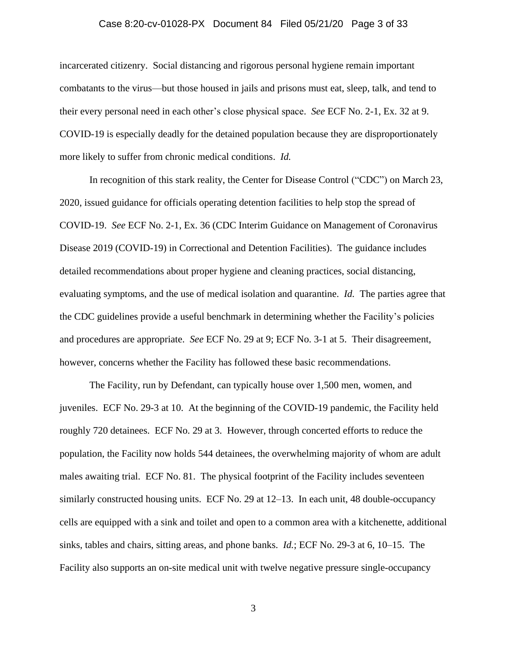### Case 8:20-cv-01028-PX Document 84 Filed 05/21/20 Page 3 of 33

incarcerated citizenry. Social distancing and rigorous personal hygiene remain important combatants to the virus—but those housed in jails and prisons must eat, sleep, talk, and tend to their every personal need in each other's close physical space. *See* ECF No. 2-1, Ex. 32 at 9. COVID-19 is especially deadly for the detained population because they are disproportionately more likely to suffer from chronic medical conditions. *Id.* 

In recognition of this stark reality, the Center for Disease Control ("CDC") on March 23, 2020, issued guidance for officials operating detention facilities to help stop the spread of COVID-19. *See* ECF No. 2-1, Ex. 36 (CDC Interim Guidance on Management of Coronavirus Disease 2019 (COVID-19) in Correctional and Detention Facilities). The guidance includes detailed recommendations about proper hygiene and cleaning practices, social distancing, evaluating symptoms, and the use of medical isolation and quarantine. *Id.* The parties agree that the CDC guidelines provide a useful benchmark in determining whether the Facility's policies and procedures are appropriate. *See* ECF No. 29 at 9; ECF No. 3-1 at 5. Their disagreement, however, concerns whether the Facility has followed these basic recommendations.

The Facility, run by Defendant, can typically house over 1,500 men, women, and juveniles. ECF No. 29-3 at 10. At the beginning of the COVID-19 pandemic, the Facility held roughly 720 detainees. ECF No. 29 at 3. However, through concerted efforts to reduce the population, the Facility now holds 544 detainees, the overwhelming majority of whom are adult males awaiting trial. ECF No. 81. The physical footprint of the Facility includes seventeen similarly constructed housing units. ECF No. 29 at 12–13. In each unit, 48 double-occupancy cells are equipped with a sink and toilet and open to a common area with a kitchenette, additional sinks, tables and chairs, sitting areas, and phone banks. *Id.*; ECF No. 29-3 at 6, 10–15. The Facility also supports an on-site medical unit with twelve negative pressure single-occupancy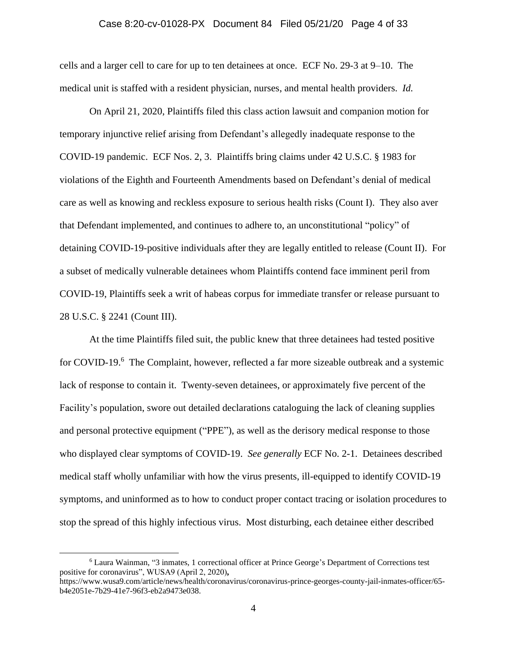### Case 8:20-cv-01028-PX Document 84 Filed 05/21/20 Page 4 of 33

cells and a larger cell to care for up to ten detainees at once. ECF No. 29-3 at 9–10. The medical unit is staffed with a resident physician, nurses, and mental health providers. *Id.*

On April 21, 2020, Plaintiffs filed this class action lawsuit and companion motion for temporary injunctive relief arising from Defendant's allegedly inadequate response to the COVID-19 pandemic. ECF Nos. 2, 3. Plaintiffs bring claims under 42 U.S.C. § 1983 for violations of the Eighth and Fourteenth Amendments based on Defendant's denial of medical care as well as knowing and reckless exposure to serious health risks (Count I). They also aver that Defendant implemented, and continues to adhere to, an unconstitutional "policy" of detaining COVID-19-positive individuals after they are legally entitled to release (Count II). For a subset of medically vulnerable detainees whom Plaintiffs contend face imminent peril from COVID-19, Plaintiffs seek a writ of habeas corpus for immediate transfer or release pursuant to 28 U.S.C. § 2241 (Count III).

At the time Plaintiffs filed suit, the public knew that three detainees had tested positive for COVID-19.<sup>6</sup> The Complaint, however, reflected a far more sizeable outbreak and a systemic lack of response to contain it. Twenty-seven detainees, or approximately five percent of the Facility's population, swore out detailed declarations cataloguing the lack of cleaning supplies and personal protective equipment ("PPE"), as well as the derisory medical response to those who displayed clear symptoms of COVID-19. *See generally* ECF No. 2-1. Detainees described medical staff wholly unfamiliar with how the virus presents, ill-equipped to identify COVID-19 symptoms, and uninformed as to how to conduct proper contact tracing or isolation procedures to stop the spread of this highly infectious virus. Most disturbing, each detainee either described

<sup>6</sup> Laura Wainman, "3 inmates, 1 correctional officer at Prince George's Department of Corrections test positive for coronavirus", WUSA9 (April 2, 2020)**,** 

https://www.wusa9.com/article/news/health/coronavirus/coronavirus-prince-georges-county-jail-inmates-officer/65 b4e2051e-7b29-41e7-96f3-eb2a9473e038.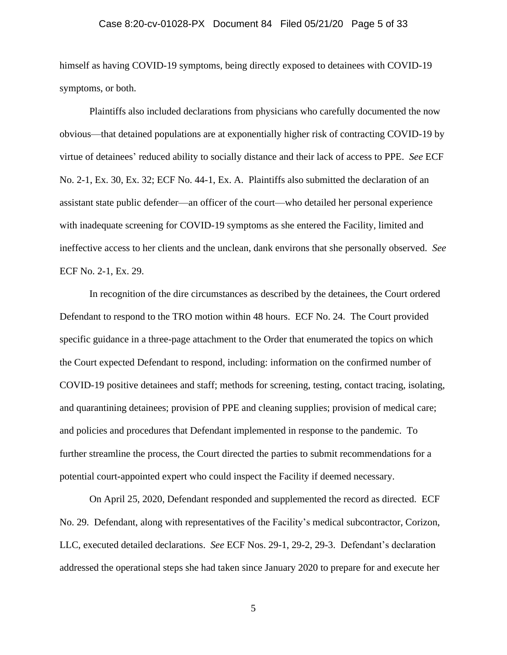#### Case 8:20-cv-01028-PX Document 84 Filed 05/21/20 Page 5 of 33

himself as having COVID-19 symptoms, being directly exposed to detainees with COVID-19 symptoms, or both.

Plaintiffs also included declarations from physicians who carefully documented the now obvious—that detained populations are at exponentially higher risk of contracting COVID-19 by virtue of detainees' reduced ability to socially distance and their lack of access to PPE. *See* ECF No. 2-1, Ex. 30, Ex. 32; ECF No. 44-1, Ex. A. Plaintiffs also submitted the declaration of an assistant state public defender—an officer of the court—who detailed her personal experience with inadequate screening for COVID-19 symptoms as she entered the Facility, limited and ineffective access to her clients and the unclean, dank environs that she personally observed. *See*  ECF No. 2-1, Ex. 29.

In recognition of the dire circumstances as described by the detainees, the Court ordered Defendant to respond to the TRO motion within 48 hours. ECF No. 24. The Court provided specific guidance in a three-page attachment to the Order that enumerated the topics on which the Court expected Defendant to respond, including: information on the confirmed number of COVID-19 positive detainees and staff; methods for screening, testing, contact tracing, isolating, and quarantining detainees; provision of PPE and cleaning supplies; provision of medical care; and policies and procedures that Defendant implemented in response to the pandemic. To further streamline the process, the Court directed the parties to submit recommendations for a potential court-appointed expert who could inspect the Facility if deemed necessary.

On April 25, 2020, Defendant responded and supplemented the record as directed. ECF No. 29. Defendant, along with representatives of the Facility's medical subcontractor, Corizon, LLC, executed detailed declarations. *See* ECF Nos. 29-1, 29-2, 29-3. Defendant's declaration addressed the operational steps she had taken since January 2020 to prepare for and execute her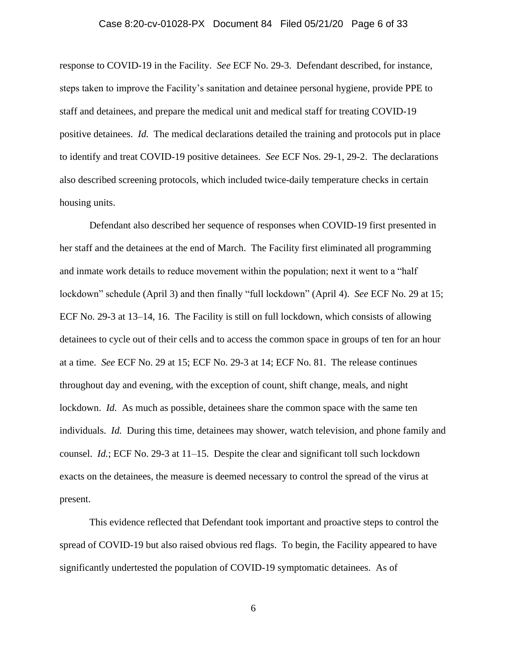### Case 8:20-cv-01028-PX Document 84 Filed 05/21/20 Page 6 of 33

response to COVID-19 in the Facility. *See* ECF No. 29-3. Defendant described, for instance, steps taken to improve the Facility's sanitation and detainee personal hygiene, provide PPE to staff and detainees, and prepare the medical unit and medical staff for treating COVID-19 positive detainees. *Id.* The medical declarations detailed the training and protocols put in place to identify and treat COVID-19 positive detainees. *See* ECF Nos. 29-1, 29-2. The declarations also described screening protocols, which included twice-daily temperature checks in certain housing units.

Defendant also described her sequence of responses when COVID-19 first presented in her staff and the detainees at the end of March. The Facility first eliminated all programming and inmate work details to reduce movement within the population; next it went to a "half lockdown" schedule (April 3) and then finally "full lockdown" (April 4). *See* ECF No. 29 at 15; ECF No. 29-3 at 13–14, 16. The Facility is still on full lockdown, which consists of allowing detainees to cycle out of their cells and to access the common space in groups of ten for an hour at a time. *See* ECF No. 29 at 15; ECF No. 29-3 at 14; ECF No. 81. The release continues throughout day and evening, with the exception of count, shift change, meals, and night lockdown. *Id.* As much as possible, detainees share the common space with the same ten individuals. *Id.* During this time, detainees may shower, watch television, and phone family and counsel. *Id.*; ECF No. 29-3 at 11–15. Despite the clear and significant toll such lockdown exacts on the detainees, the measure is deemed necessary to control the spread of the virus at present.

This evidence reflected that Defendant took important and proactive steps to control the spread of COVID-19 but also raised obvious red flags. To begin, the Facility appeared to have significantly undertested the population of COVID-19 symptomatic detainees. As of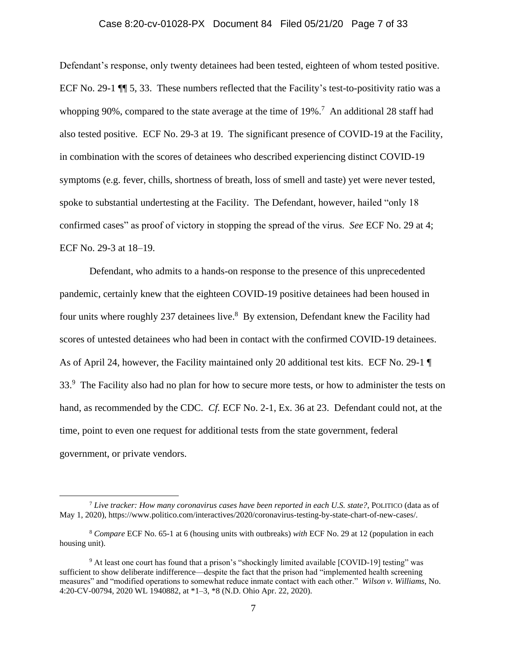# Case 8:20-cv-01028-PX Document 84 Filed 05/21/20 Page 7 of 33

Defendant's response, only twenty detainees had been tested, eighteen of whom tested positive. ECF No. 29-1 ¶¶ 5, 33. These numbers reflected that the Facility's test-to-positivity ratio was a whopping 90%, compared to the state average at the time of 19%.<sup>7</sup> An additional 28 staff had also tested positive. ECF No. 29-3 at 19. The significant presence of COVID-19 at the Facility, in combination with the scores of detainees who described experiencing distinct COVID-19 symptoms (e.g. fever, chills, shortness of breath, loss of smell and taste) yet were never tested, spoke to substantial undertesting at the Facility. The Defendant, however, hailed "only 18 confirmed cases" as proof of victory in stopping the spread of the virus. *See* ECF No. 29 at 4; ECF No. 29-3 at 18–19.

Defendant, who admits to a hands-on response to the presence of this unprecedented pandemic, certainly knew that the eighteen COVID-19 positive detainees had been housed in four units where roughly 237 detainees live.<sup>8</sup> By extension, Defendant knew the Facility had scores of untested detainees who had been in contact with the confirmed COVID-19 detainees. As of April 24, however, the Facility maintained only 20 additional test kits. ECF No. 29-1 ¶ 33.<sup>9</sup> The Facility also had no plan for how to secure more tests, or how to administer the tests on hand, as recommended by the CDC. *Cf.* ECF No. 2-1, Ex. 36 at 23. Defendant could not, at the time, point to even one request for additional tests from the state government, federal government, or private vendors.

<sup>7</sup> *Live tracker: How many coronavirus cases have been reported in each U.S. state?*, POLITICO (data as of May 1, 2020), https://www.politico.com/interactives/2020/coronavirus-testing-by-state-chart-of-new-cases/.

<sup>8</sup> *Compare* ECF No. 65-1 at 6 (housing units with outbreaks) *with* ECF No. 29 at 12 (population in each housing unit).

<sup>9</sup> At least one court has found that a prison's "shockingly limited available [COVID-19] testing" was sufficient to show deliberate indifference—despite the fact that the prison had "implemented health screening measures" and "modified operations to somewhat reduce inmate contact with each other." *Wilson v. Williams*, No. 4:20-CV-00794, 2020 WL 1940882, at \*1–3, \*8 (N.D. Ohio Apr. 22, 2020).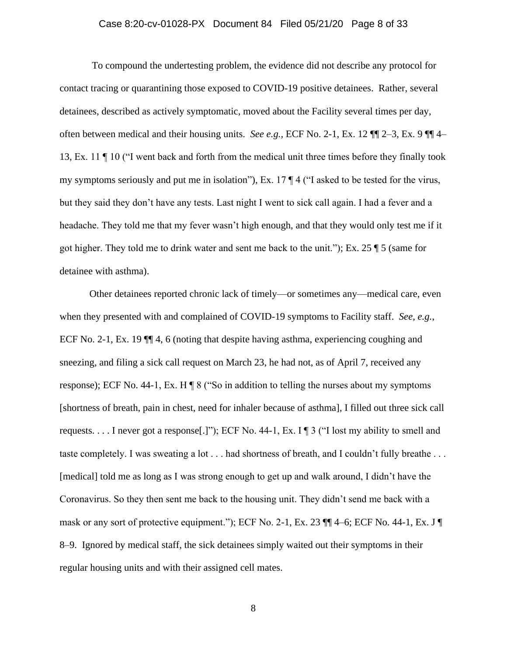# Case 8:20-cv-01028-PX Document 84 Filed 05/21/20 Page 8 of 33

To compound the undertesting problem, the evidence did not describe any protocol for contact tracing or quarantining those exposed to COVID-19 positive detainees. Rather, several detainees, described as actively symptomatic, moved about the Facility several times per day, often between medical and their housing units. *See e.g.,* ECF No. 2-1, Ex. 12 ¶¶ 2–3, Ex. 9 ¶¶ 4– 13, Ex. 11 ¶ 10 ("I went back and forth from the medical unit three times before they finally took my symptoms seriously and put me in isolation"), Ex. 17 ¶ 4 ("I asked to be tested for the virus, but they said they don't have any tests. Last night I went to sick call again. I had a fever and a headache. They told me that my fever wasn't high enough, and that they would only test me if it got higher. They told me to drink water and sent me back to the unit."); Ex. 25 ¶ 5 (same for detainee with asthma).

Other detainees reported chronic lack of timely—or sometimes any—medical care, even when they presented with and complained of COVID-19 symptoms to Facility staff. *See, e.g.*, ECF No. 2-1, Ex. 19 ¶¶ 4, 6 (noting that despite having asthma, experiencing coughing and sneezing, and filing a sick call request on March 23, he had not, as of April 7, received any response); ECF No. 44-1, Ex. H  $\P$  8 ("So in addition to telling the nurses about my symptoms [shortness of breath, pain in chest, need for inhaler because of asthma], I filled out three sick call requests.  $\dots$  I never got a response. [1]); ECF No. 44-1, Ex. I  $\P$  3 ("I lost my ability to smell and taste completely. I was sweating a lot . . . had shortness of breath, and I couldn't fully breathe . . . [medical] told me as long as I was strong enough to get up and walk around, I didn't have the Coronavirus. So they then sent me back to the housing unit. They didn't send me back with a mask or any sort of protective equipment."); ECF No. 2-1, Ex. 23  $\P$  $\P$ 4–6; ECF No. 44-1, Ex. J $\P$ 8–9. Ignored by medical staff, the sick detainees simply waited out their symptoms in their regular housing units and with their assigned cell mates.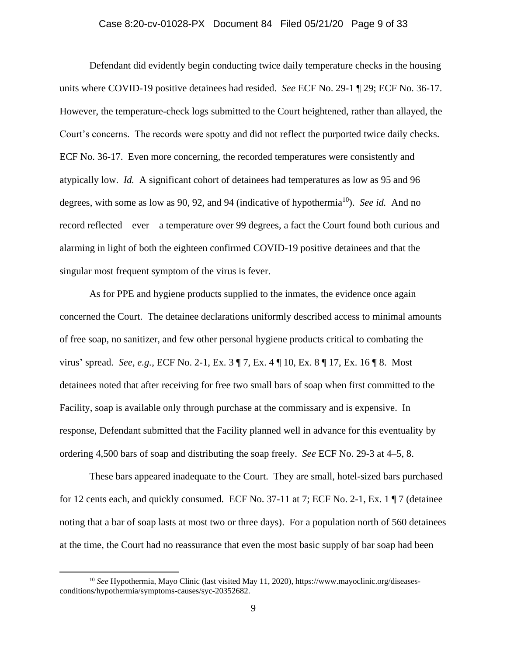### Case 8:20-cv-01028-PX Document 84 Filed 05/21/20 Page 9 of 33

Defendant did evidently begin conducting twice daily temperature checks in the housing units where COVID-19 positive detainees had resided. *See* ECF No. 29-1 ¶ 29; ECF No. 36-17. However, the temperature-check logs submitted to the Court heightened, rather than allayed, the Court's concerns. The records were spotty and did not reflect the purported twice daily checks. ECF No. 36-17. Even more concerning, the recorded temperatures were consistently and atypically low. *Id.* A significant cohort of detainees had temperatures as low as 95 and 96 degrees, with some as low as 90, 92, and 94 (indicative of hypothermia<sup>10</sup>). *See id.* And no record reflected—ever—a temperature over 99 degrees, a fact the Court found both curious and alarming in light of both the eighteen confirmed COVID-19 positive detainees and that the singular most frequent symptom of the virus is fever.

As for PPE and hygiene products supplied to the inmates, the evidence once again concerned the Court. The detainee declarations uniformly described access to minimal amounts of free soap, no sanitizer, and few other personal hygiene products critical to combating the virus' spread. *See, e.g.*, ECF No. 2-1, Ex. 3 ¶ 7, Ex. 4 ¶ 10, Ex. 8 ¶ 17, Ex. 16 ¶ 8. Most detainees noted that after receiving for free two small bars of soap when first committed to the Facility, soap is available only through purchase at the commissary and is expensive. In response, Defendant submitted that the Facility planned well in advance for this eventuality by ordering 4,500 bars of soap and distributing the soap freely. *See* ECF No. 29-3 at 4–5, 8.

These bars appeared inadequate to the Court. They are small, hotel-sized bars purchased for 12 cents each, and quickly consumed. ECF No. 37-11 at 7; ECF No. 2-1, Ex. 1  $\P$  7 (detainee noting that a bar of soap lasts at most two or three days). For a population north of 560 detainees at the time, the Court had no reassurance that even the most basic supply of bar soap had been

<sup>&</sup>lt;sup>10</sup> See Hypothermia, Mayo Clinic (last visited May 11, 2020), https://www.mayoclinic.org/diseasesconditions/hypothermia/symptoms-causes/syc-20352682.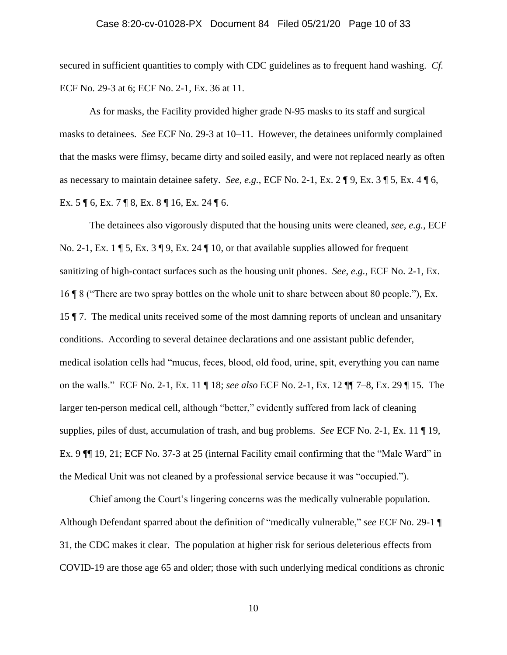# Case 8:20-cv-01028-PX Document 84 Filed 05/21/20 Page 10 of 33

secured in sufficient quantities to comply with CDC guidelines as to frequent hand washing. *Cf.* ECF No. 29-3 at 6; ECF No. 2-1, Ex. 36 at 11.

As for masks, the Facility provided higher grade N-95 masks to its staff and surgical masks to detainees. *See* ECF No. 29-3 at 10–11. However, the detainees uniformly complained that the masks were flimsy, became dirty and soiled easily, and were not replaced nearly as often as necessary to maintain detainee safety. *See, e.g.*, ECF No. 2-1, Ex. 2 ¶ 9, Ex. 3 ¶ 5, Ex. 4 ¶ 6, Ex. 5 ¶ 6, Ex. 7 ¶ 8, Ex. 8 ¶ 16, Ex. 24 ¶ 6.

The detainees also vigorously disputed that the housing units were cleaned, *see, e.g.*, ECF No. 2-1, Ex. 1  $\parallel$  5, Ex. 3  $\parallel$  9, Ex. 24  $\parallel$  10, or that available supplies allowed for frequent sanitizing of high-contact surfaces such as the housing unit phones. *See, e.g.*, ECF No. 2-1, Ex. 16 ¶ 8 ("There are two spray bottles on the whole unit to share between about 80 people."), Ex. 15 ¶ 7. The medical units received some of the most damning reports of unclean and unsanitary conditions. According to several detainee declarations and one assistant public defender, medical isolation cells had "mucus, feces, blood, old food, urine, spit, everything you can name on the walls." ECF No. 2-1, Ex. 11 ¶ 18; *see also* ECF No. 2-1, Ex. 12 ¶¶ 7–8, Ex. 29 ¶ 15. The larger ten-person medical cell, although "better," evidently suffered from lack of cleaning supplies, piles of dust, accumulation of trash, and bug problems. *See* ECF No. 2-1, Ex. 11 ¶ 19, Ex. 9 ¶¶ 19, 21; ECF No. 37-3 at 25 (internal Facility email confirming that the "Male Ward" in the Medical Unit was not cleaned by a professional service because it was "occupied.").

Chief among the Court's lingering concerns was the medically vulnerable population. Although Defendant sparred about the definition of "medically vulnerable," *see* ECF No. 29-1 ¶ 31, the CDC makes it clear. The population at higher risk for serious deleterious effects from COVID-19 are those age 65 and older; those with such underlying medical conditions as chronic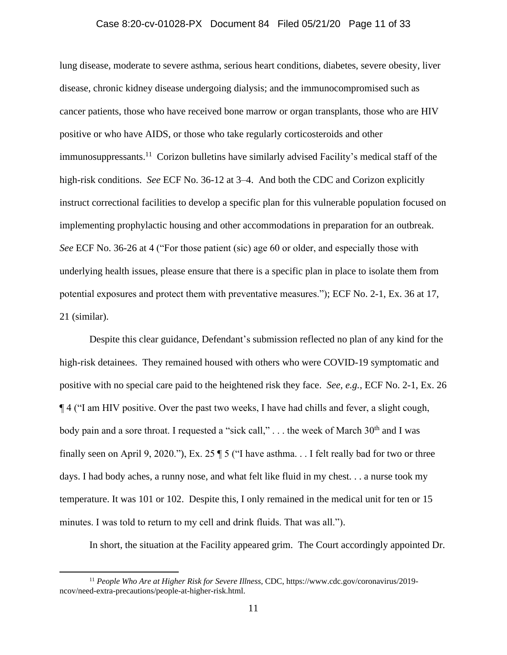# Case 8:20-cv-01028-PX Document 84 Filed 05/21/20 Page 11 of 33

lung disease, moderate to severe asthma, serious heart conditions, diabetes, severe obesity, liver disease, chronic kidney disease undergoing dialysis; and the immunocompromised such as cancer patients, those who have received bone marrow or organ transplants, those who are HIV positive or who have AIDS, or those who take regularly corticosteroids and other immunosuppressants.<sup>11</sup> Corizon bulletins have similarly advised Facility's medical staff of the high-risk conditions. *See* ECF No. 36-12 at 3–4. And both the CDC and Corizon explicitly instruct correctional facilities to develop a specific plan for this vulnerable population focused on implementing prophylactic housing and other accommodations in preparation for an outbreak. *See* ECF No. 36-26 at 4 ("For those patient (sic) age 60 or older, and especially those with underlying health issues, please ensure that there is a specific plan in place to isolate them from potential exposures and protect them with preventative measures."); ECF No. 2-1, Ex. 36 at 17, 21 (similar).

Despite this clear guidance, Defendant's submission reflected no plan of any kind for the high-risk detainees. They remained housed with others who were COVID-19 symptomatic and positive with no special care paid to the heightened risk they face. *See, e.g.,* ECF No. 2-1, Ex. 26 ¶ 4 ("I am HIV positive. Over the past two weeks, I have had chills and fever, a slight cough, body pain and a sore throat. I requested a "sick call,"  $\ldots$  the week of March 30<sup>th</sup> and I was finally seen on April 9, 2020."), Ex. 25 ¶ 5 ("I have asthma. . . I felt really bad for two or three days. I had body aches, a runny nose, and what felt like fluid in my chest. . . a nurse took my temperature. It was 101 or 102. Despite this, I only remained in the medical unit for ten or 15 minutes. I was told to return to my cell and drink fluids. That was all.").

In short, the situation at the Facility appeared grim. The Court accordingly appointed Dr.

<sup>11</sup> *People Who Are at Higher Risk for Severe Illness*, CDC, https://www.cdc.gov/coronavirus/2019 ncov/need-extra-precautions/people-at-higher-risk.html.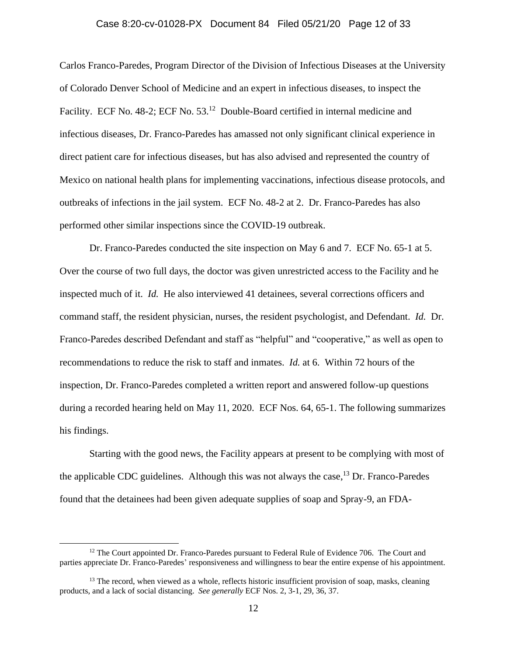# Case 8:20-cv-01028-PX Document 84 Filed 05/21/20 Page 12 of 33

Carlos Franco-Paredes, Program Director of the Division of Infectious Diseases at the University of Colorado Denver School of Medicine and an expert in infectious diseases, to inspect the Facility. ECF No. 48-2; ECF No. 53.<sup>12</sup> Double-Board certified in internal medicine and infectious diseases, Dr. Franco-Paredes has amassed not only significant clinical experience in direct patient care for infectious diseases, but has also advised and represented the country of Mexico on national health plans for implementing vaccinations, infectious disease protocols, and outbreaks of infections in the jail system. ECF No. 48-2 at 2. Dr. Franco-Paredes has also performed other similar inspections since the COVID-19 outbreak.

Dr. Franco-Paredes conducted the site inspection on May 6 and 7. ECF No. 65-1 at 5. Over the course of two full days, the doctor was given unrestricted access to the Facility and he inspected much of it. *Id.* He also interviewed 41 detainees, several corrections officers and command staff, the resident physician, nurses, the resident psychologist, and Defendant. *Id.* Dr. Franco-Paredes described Defendant and staff as "helpful" and "cooperative," as well as open to recommendations to reduce the risk to staff and inmates. *Id.* at 6. Within 72 hours of the inspection, Dr. Franco-Paredes completed a written report and answered follow-up questions during a recorded hearing held on May 11, 2020. ECF Nos. 64, 65-1. The following summarizes his findings.

Starting with the good news, the Facility appears at present to be complying with most of the applicable CDC guidelines. Although this was not always the case,<sup>13</sup> Dr. Franco-Paredes found that the detainees had been given adequate supplies of soap and Spray-9, an FDA-

<sup>&</sup>lt;sup>12</sup> The Court appointed Dr. Franco-Paredes pursuant to Federal Rule of Evidence 706. The Court and parties appreciate Dr. Franco-Paredes' responsiveness and willingness to bear the entire expense of his appointment.

<sup>&</sup>lt;sup>13</sup> The record, when viewed as a whole, reflects historic insufficient provision of soap, masks, cleaning products, and a lack of social distancing. *See generally* ECF Nos. 2, 3-1, 29, 36, 37.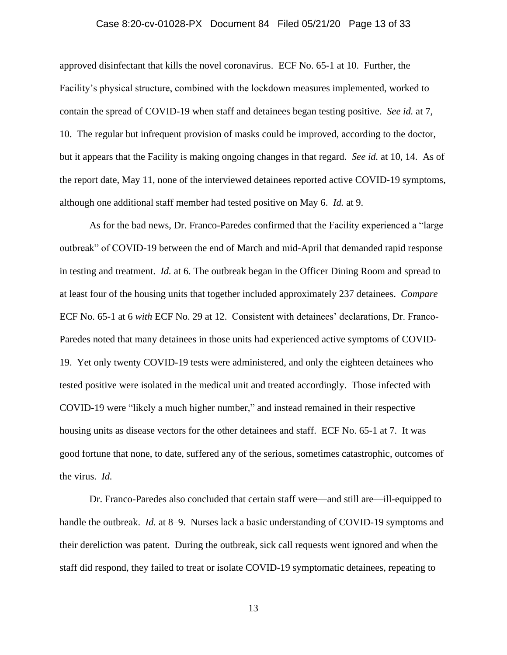## Case 8:20-cv-01028-PX Document 84 Filed 05/21/20 Page 13 of 33

approved disinfectant that kills the novel coronavirus. ECF No. 65-1 at 10. Further, the Facility's physical structure, combined with the lockdown measures implemented, worked to contain the spread of COVID-19 when staff and detainees began testing positive. *See id.* at 7, 10. The regular but infrequent provision of masks could be improved, according to the doctor, but it appears that the Facility is making ongoing changes in that regard. *See id.* at 10, 14. As of the report date, May 11, none of the interviewed detainees reported active COVID-19 symptoms, although one additional staff member had tested positive on May 6. *Id.* at 9.

As for the bad news, Dr. Franco-Paredes confirmed that the Facility experienced a "large outbreak" of COVID-19 between the end of March and mid-April that demanded rapid response in testing and treatment. *Id.* at 6. The outbreak began in the Officer Dining Room and spread to at least four of the housing units that together included approximately 237 detainees. *Compare* ECF No. 65-1 at 6 *with* ECF No. 29 at 12. Consistent with detainees' declarations, Dr. Franco-Paredes noted that many detainees in those units had experienced active symptoms of COVID-19. Yet only twenty COVID-19 tests were administered, and only the eighteen detainees who tested positive were isolated in the medical unit and treated accordingly. Those infected with COVID-19 were "likely a much higher number," and instead remained in their respective housing units as disease vectors for the other detainees and staff. ECF No. 65-1 at 7. It was good fortune that none, to date, suffered any of the serious, sometimes catastrophic, outcomes of the virus. *Id.* 

Dr. Franco-Paredes also concluded that certain staff were—and still are—ill-equipped to handle the outbreak. *Id.* at 8–9. Nurses lack a basic understanding of COVID-19 symptoms and their dereliction was patent. During the outbreak, sick call requests went ignored and when the staff did respond, they failed to treat or isolate COVID-19 symptomatic detainees, repeating to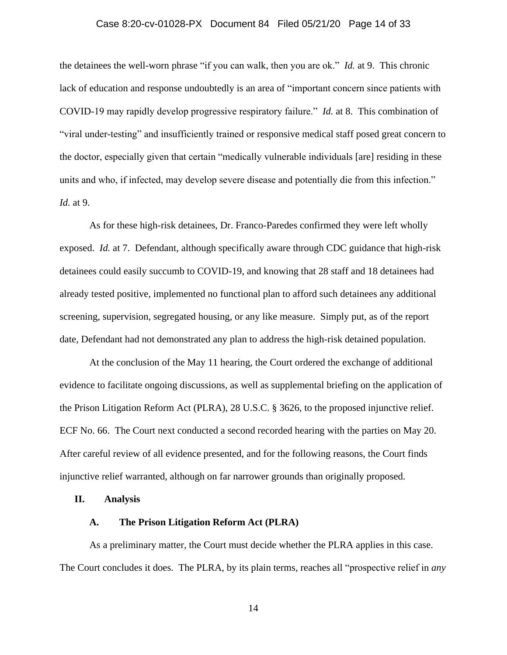## Case 8:20-cv-01028-PX Document 84 Filed 05/21/20 Page 14 of 33

the detainees the well-worn phrase "if you can walk, then you are ok." *Id.* at 9. This chronic lack of education and response undoubtedly is an area of "important concern since patients with COVID-19 may rapidly develop progressive respiratory failure." *Id.* at 8. This combination of "viral under-testing" and insufficiently trained or responsive medical staff posed great concern to the doctor, especially given that certain "medically vulnerable individuals [are] residing in these units and who, if infected, may develop severe disease and potentially die from this infection." *Id.* at 9.

As for these high-risk detainees, Dr. Franco-Paredes confirmed they were left wholly exposed. *Id.* at 7. Defendant, although specifically aware through CDC guidance that high-risk detainees could easily succumb to COVID-19, and knowing that 28 staff and 18 detainees had already tested positive, implemented no functional plan to afford such detainees any additional screening, supervision, segregated housing, or any like measure. Simply put, as of the report date, Defendant had not demonstrated any plan to address the high-risk detained population.

At the conclusion of the May 11 hearing, the Court ordered the exchange of additional evidence to facilitate ongoing discussions, as well as supplemental briefing on the application of the Prison Litigation Reform Act (PLRA), 28 U.S.C. § 3626, to the proposed injunctive relief. ECF No. 66. The Court next conducted a second recorded hearing with the parties on May 20. After careful review of all evidence presented, and for the following reasons, the Court finds injunctive relief warranted, although on far narrower grounds than originally proposed.

## **II. Analysis**

#### **A. The Prison Litigation Reform Act (PLRA)**

As a preliminary matter, the Court must decide whether the PLRA applies in this case. The Court concludes it does. The PLRA, by its plain terms, reaches all "prospective relief in *any*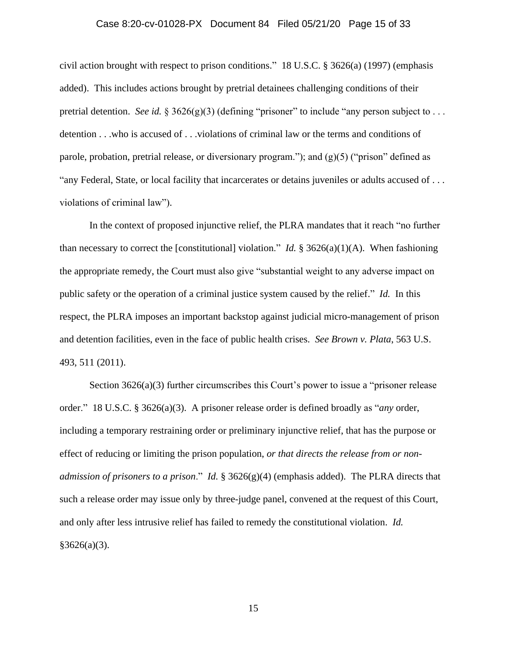## Case 8:20-cv-01028-PX Document 84 Filed 05/21/20 Page 15 of 33

civil action brought with respect to prison conditions." 18 U.S.C. § 3626(a) (1997) (emphasis added). This includes actions brought by pretrial detainees challenging conditions of their pretrial detention. *See id.* § 3626(g)(3) (defining "prisoner" to include "any person subject to . . . detention . . .who is accused of . . .violations of criminal law or the terms and conditions of parole, probation, pretrial release, or diversionary program."); and  $(g)(5)$  ("prison" defined as "any Federal, State, or local facility that incarcerates or detains juveniles or adults accused of . . . violations of criminal law").

In the context of proposed injunctive relief, the PLRA mandates that it reach "no further than necessary to correct the [constitutional] violation." *Id.* § 3626(a)(1)(A). When fashioning the appropriate remedy, the Court must also give "substantial weight to any adverse impact on public safety or the operation of a criminal justice system caused by the relief." *Id.* In this respect, the PLRA imposes an important backstop against judicial micro-management of prison and detention facilities, even in the face of public health crises. *See Brown v. Plata*, 563 U.S. 493, 511 (2011).

Section 3626(a)(3) further circumscribes this Court's power to issue a "prisoner release order." 18 U.S.C. § 3626(a)(3). A prisoner release order is defined broadly as "*any* order, including a temporary restraining order or preliminary injunctive relief, that has the purpose or effect of reducing or limiting the prison population, *or that directs the release from or nonadmission of prisoners to a prison*." *Id.* § 3626(g)(4) (emphasis added). The PLRA directs that such a release order may issue only by three-judge panel, convened at the request of this Court, and only after less intrusive relief has failed to remedy the constitutional violation. *Id.*   $§3626(a)(3).$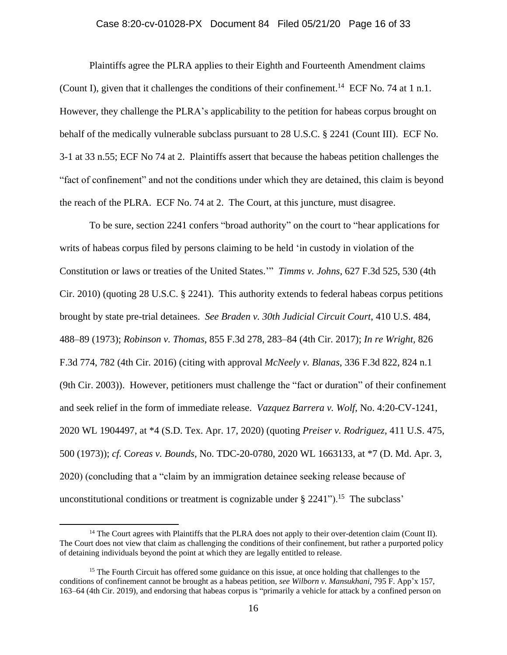## Case 8:20-cv-01028-PX Document 84 Filed 05/21/20 Page 16 of 33

Plaintiffs agree the PLRA applies to their Eighth and Fourteenth Amendment claims (Count I), given that it challenges the conditions of their confinement.<sup>14</sup> ECF No. 74 at 1 n.1. However, they challenge the PLRA's applicability to the petition for habeas corpus brought on behalf of the medically vulnerable subclass pursuant to 28 U.S.C. § 2241 (Count III). ECF No. 3-1 at 33 n.55; ECF No 74 at 2. Plaintiffs assert that because the habeas petition challenges the "fact of confinement" and not the conditions under which they are detained, this claim is beyond the reach of the PLRA. ECF No. 74 at 2. The Court, at this juncture, must disagree.

To be sure, section 2241 confers "broad authority" on the court to "hear applications for writs of habeas corpus filed by persons claiming to be held 'in custody in violation of the Constitution or laws or treaties of the United States.'" *Timms v. Johns*, 627 F.3d 525, 530 (4th Cir. 2010) (quoting 28 U.S.C. § 2241). This authority extends to federal habeas corpus petitions brought by state pre-trial detainees. *See Braden v. 30th Judicial Circuit Court*, 410 U.S. 484, 488–89 (1973); *Robinson v. Thomas*, 855 F.3d 278, 283–84 (4th Cir. 2017); *In re Wright,* 826 F.3d 774, 782 (4th Cir. 2016) (citing with approval *McNeely v. Blanas*, 336 F.3d 822, 824 n.1 (9th Cir. 2003)). However, petitioners must challenge the "fact or duration" of their confinement and seek relief in the form of immediate release. *Vazquez Barrera v. Wolf*, No. 4:20-CV-1241, 2020 WL 1904497, at \*4 (S.D. Tex. Apr. 17, 2020) (quoting *Preiser v. Rodriguez*, 411 U.S. 475, 500 (1973)); *cf.* C*oreas v. Bounds*, No. TDC-20-0780, 2020 WL 1663133, at \*7 (D. Md. Apr. 3, 2020) (concluding that a "claim by an immigration detainee seeking release because of unconstitutional conditions or treatment is cognizable under  $\S 2241$ ").<sup>15</sup> The subclass'

<sup>&</sup>lt;sup>14</sup> The Court agrees with Plaintiffs that the PLRA does not apply to their over-detention claim (Count II). The Court does not view that claim as challenging the conditions of their confinement, but rather a purported policy of detaining individuals beyond the point at which they are legally entitled to release.

<sup>&</sup>lt;sup>15</sup> The Fourth Circuit has offered some guidance on this issue, at once holding that challenges to the conditions of confinement cannot be brought as a habeas petition, *see Wilborn v. Mansukhani*, 795 F. App'x 157, 163–64 (4th Cir. 2019), and endorsing that habeas corpus is "primarily a vehicle for attack by a confined person on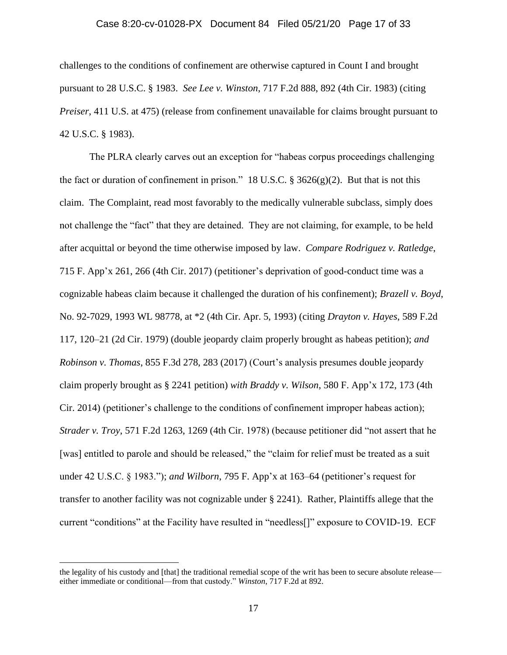## Case 8:20-cv-01028-PX Document 84 Filed 05/21/20 Page 17 of 33

challenges to the conditions of confinement are otherwise captured in Count I and brought pursuant to 28 U.S.C. § 1983. *See Lee v. Winston*, 717 F.2d 888, 892 (4th Cir. 1983) (citing *Preiser*, 411 U.S. at 475) (release from confinement unavailable for claims brought pursuant to 42 U.S.C. § 1983).

The PLRA clearly carves out an exception for "habeas corpus proceedings challenging the fact or duration of confinement in prison." 18 U.S.C.  $\S 3626(g)(2)$ . But that is not this claim. The Complaint, read most favorably to the medically vulnerable subclass, simply does not challenge the "fact" that they are detained. They are not claiming, for example, to be held after acquittal or beyond the time otherwise imposed by law. *Compare Rodriguez v. Ratledge*, 715 F. App'x 261, 266 (4th Cir. 2017) (petitioner's deprivation of good-conduct time was a cognizable habeas claim because it challenged the duration of his confinement); *Brazell v. Boyd*, No. 92-7029, 1993 WL 98778, at \*2 (4th Cir. Apr. 5, 1993) (citing *Drayton v. Hayes*, 589 F.2d 117, 120–21 (2d Cir. 1979) (double jeopardy claim properly brought as habeas petition); *and Robinson v. Thomas*, 855 F.3d 278, 283 (2017) (Court's analysis presumes double jeopardy claim properly brought as § 2241 petition) *with Braddy v. Wilson*, 580 F. App'x 172, 173 (4th Cir. 2014) (petitioner's challenge to the conditions of confinement improper habeas action); *Strader v. Troy*, 571 F.2d 1263, 1269 (4th Cir. 1978) (because petitioner did "not assert that he [was] entitled to parole and should be released," the "claim for relief must be treated as a suit under 42 U.S.C. § 1983."); *and Wilborn*, 795 F. App'x at 163–64 (petitioner's request for transfer to another facility was not cognizable under § 2241). Rather, Plaintiffs allege that the current "conditions" at the Facility have resulted in "needless[]" exposure to COVID-19. ECF

the legality of his custody and [that] the traditional remedial scope of the writ has been to secure absolute release either immediate or conditional—from that custody." *Winston*, 717 F.2d at 892.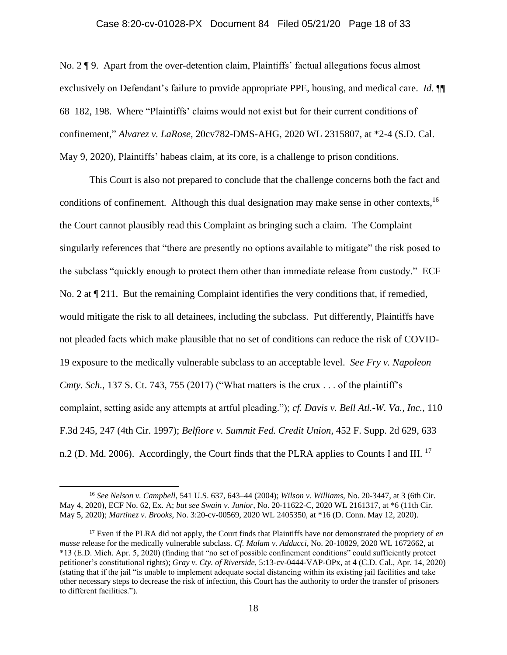### Case 8:20-cv-01028-PX Document 84 Filed 05/21/20 Page 18 of 33

No. 2 ¶ 9. Apart from the over-detention claim, Plaintiffs' factual allegations focus almost exclusively on Defendant's failure to provide appropriate PPE, housing, and medical care. *Id.* ¶¶ 68–182, 198. Where "Plaintiffs' claims would not exist but for their current conditions of confinement," *Alvarez v. LaRose*, 20cv782-DMS-AHG, 2020 WL 2315807, at \*2-4 (S.D. Cal. May 9, 2020), Plaintiffs' habeas claim, at its core, is a challenge to prison conditions.

This Court is also not prepared to conclude that the challenge concerns both the fact and conditions of confinement. Although this dual designation may make sense in other contexts,<sup>16</sup> the Court cannot plausibly read this Complaint as bringing such a claim. The Complaint singularly references that "there are presently no options available to mitigate" the risk posed to the subclass "quickly enough to protect them other than immediate release from custody." ECF No. 2 at  $\P$  211. But the remaining Complaint identifies the very conditions that, if remedied, would mitigate the risk to all detainees, including the subclass. Put differently, Plaintiffs have not pleaded facts which make plausible that no set of conditions can reduce the risk of COVID-19 exposure to the medically vulnerable subclass to an acceptable level. *See Fry v. Napoleon Cmty. Sch.*, 137 S. Ct. 743, 755 (2017) ("What matters is the crux . . . of the plaintiff's complaint, setting aside any attempts at artful pleading."); *cf. Davis v. Bell Atl.-W. Va., Inc.*, 110 F.3d 245, 247 (4th Cir. 1997); *Belfiore v. Summit Fed. Credit Union*, 452 F. Supp. 2d 629, 633 n.2 (D. Md. 2006). Accordingly, the Court finds that the PLRA applies to Counts I and III. <sup>17</sup>

<sup>16</sup> *See Nelson v. Campbell*, 541 U.S. 637, 643–44 (2004); *Wilson v. Williams*, No. 20-3447, at 3 (6th Cir. May 4, 2020), ECF No. 62, Ex. A; *but see Swain v. Junior*, No. 20-11622-C, 2020 WL 2161317, at \*6 (11th Cir. May 5, 2020); *Martinez v. Brooks*, No. 3:20-cv-00569, 2020 WL 2405350, at \*16 (D. Conn. May 12, 2020).

<sup>17</sup> Even if the PLRA did not apply, the Court finds that Plaintiffs have not demonstrated the propriety of *en masse* release for the medically vulnerable subclass. *Cf. Malam v. Adducci,* No. 20-10829, 2020 WL 1672662, at \*13 (E.D. Mich. Apr. 5, 2020) (finding that "no set of possible confinement conditions" could sufficiently protect petitioner's constitutional rights); *Gray v. Cty. of Riverside*, 5:13-cv-0444-VAP-OPx, at 4 (C.D. Cal., Apr. 14, 2020) (stating that if the jail "is unable to implement adequate social distancing within its existing jail facilities and take other necessary steps to decrease the risk of infection, this Court has the authority to order the transfer of prisoners to different facilities.").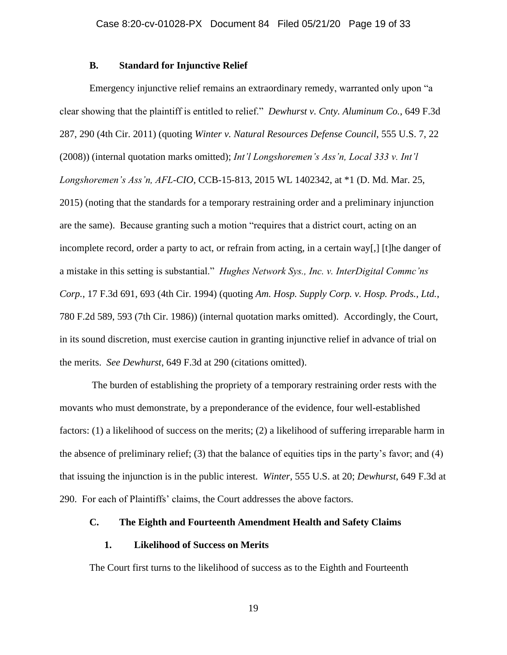#### **B. Standard for Injunctive Relief**

Emergency injunctive relief remains an extraordinary remedy, warranted only upon "a clear showing that the plaintiff is entitled to relief." *Dewhurst v. Cnty. Aluminum Co.*, 649 F.3d 287, 290 (4th Cir. 2011) (quoting *Winter v. Natural Resources Defense Council*, 555 U.S. 7, 22 (2008)) (internal quotation marks omitted); *Int'l Longshoremen's Ass'n, Local 333 v. Int'l Longshoremen's Ass'n, AFL-CIO*, CCB-15-813, 2015 WL 1402342, at \*1 (D. Md. Mar. 25, 2015) (noting that the standards for a temporary restraining order and a preliminary injunction are the same). Because granting such a motion "requires that a district court, acting on an incomplete record, order a party to act, or refrain from acting, in a certain way[,] [t]he danger of a mistake in this setting is substantial." *Hughes Network Sys., Inc. v. InterDigital Commc'ns Corp.*, 17 F.3d 691, 693 (4th Cir. 1994) (quoting *Am. Hosp. Supply Corp. v. Hosp. Prods., Ltd.*, 780 F.2d 589, 593 (7th Cir. 1986)) (internal quotation marks omitted). Accordingly, the Court, in its sound discretion, must exercise caution in granting injunctive relief in advance of trial on the merits. *See Dewhurst*, 649 F.3d at 290 (citations omitted).

The burden of establishing the propriety of a temporary restraining order rests with the movants who must demonstrate, by a preponderance of the evidence, four well-established factors: (1) a likelihood of success on the merits; (2) a likelihood of suffering irreparable harm in the absence of preliminary relief; (3) that the balance of equities tips in the party's favor; and (4) that issuing the injunction is in the public interest. *Winter*, 555 U.S. at 20; *Dewhurst*, 649 F.3d at 290. For each of Plaintiffs' claims, the Court addresses the above factors.

## **C. The Eighth and Fourteenth Amendment Health and Safety Claims**

### **1. Likelihood of Success on Merits**

The Court first turns to the likelihood of success as to the Eighth and Fourteenth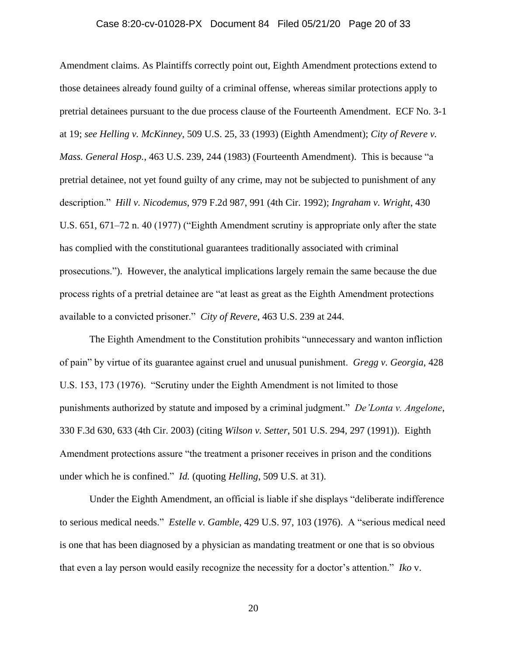# Case 8:20-cv-01028-PX Document 84 Filed 05/21/20 Page 20 of 33

Amendment claims. As Plaintiffs correctly point out, Eighth Amendment protections extend to those detainees already found guilty of a criminal offense, whereas similar protections apply to pretrial detainees pursuant to the due process clause of the Fourteenth Amendment. ECF No. 3-1 at 19; *see Helling v. McKinney*, 509 U.S. 25, 33 (1993) (Eighth Amendment); *City of Revere v. Mass. General Hosp.*, 463 U.S. 239, 244 (1983) (Fourteenth Amendment). This is because "a pretrial detainee, not yet found guilty of any crime, may not be subjected to punishment of any description." *Hill v. Nicodemus*, 979 F.2d 987, 991 (4th Cir. 1992); *Ingraham v. Wright*, 430 U.S. 651, 671–72 n. 40 (1977) ("Eighth Amendment scrutiny is appropriate only after the state has complied with the constitutional guarantees traditionally associated with criminal prosecutions."). However, the analytical implications largely remain the same because the due process rights of a pretrial detainee are "at least as great as the Eighth Amendment protections available to a convicted prisoner." *City of Revere*, 463 U.S. 239 at 244.

The Eighth Amendment to the Constitution prohibits "unnecessary and wanton infliction of pain" by virtue of its guarantee against cruel and unusual punishment. *Gregg v. Georgia*, 428 U.S. 153, 173 (1976). "Scrutiny under the Eighth Amendment is not limited to those punishments authorized by statute and imposed by a criminal judgment." *De'Lonta v. Angelone*, 330 F.3d 630, 633 (4th Cir. 2003) (citing *Wilson v. Setter*, 501 U.S. 294, 297 (1991)). Eighth Amendment protections assure "the treatment a prisoner receives in prison and the conditions under which he is confined." *Id.* (quoting *Helling*, 509 U.S. at 31).

Under the Eighth Amendment, an official is liable if she displays "deliberate indifference to serious medical needs." *Estelle v. Gamble*, 429 U.S. 97, 103 (1976). A "serious medical need is one that has been diagnosed by a physician as mandating treatment or one that is so obvious that even a lay person would easily recognize the necessity for a doctor's attention." *Iko* v.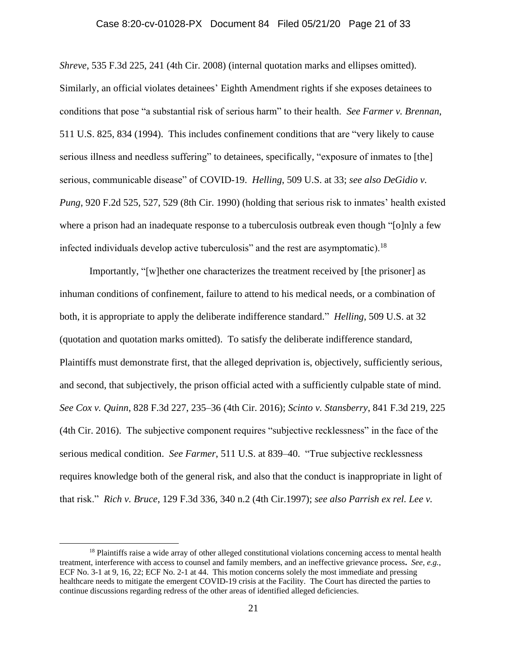## Case 8:20-cv-01028-PX Document 84 Filed 05/21/20 Page 21 of 33

*Shreve*, 535 F.3d 225, 241 (4th Cir. 2008) (internal quotation marks and ellipses omitted). Similarly, an official violates detainees' Eighth Amendment rights if she exposes detainees to conditions that pose "a substantial risk of serious harm" to their health. *See Farmer v. Brennan*, 511 U.S. 825, 834 (1994). This includes confinement conditions that are "very likely to cause serious illness and needless suffering" to detainees, specifically, "exposure of inmates to [the] serious, communicable disease" of COVID-19. *Helling*, 509 U.S. at 33; *see also DeGidio v. Pung*, 920 F.2d 525, 527, 529 (8th Cir. 1990) (holding that serious risk to inmates' health existed where a prison had an inadequate response to a tuberculosis outbreak even though "[o]nly a few infected individuals develop active tuberculosis" and the rest are asymptomatic).<sup>18</sup>

Importantly, "[w]hether one characterizes the treatment received by [the prisoner] as inhuman conditions of confinement, failure to attend to his medical needs, or a combination of both, it is appropriate to apply the deliberate indifference standard." *Helling*, 509 U.S. at 32 (quotation and quotation marks omitted). To satisfy the deliberate indifference standard, Plaintiffs must demonstrate first, that the alleged deprivation is, objectively, sufficiently serious, and second, that subjectively, the prison official acted with a sufficiently culpable state of mind. *See Cox v. Quinn*, 828 F.3d 227, 235–36 (4th Cir. 2016); *Scinto v. Stansberry*, 841 F.3d 219, 225 (4th Cir. 2016). The subjective component requires "subjective recklessness" in the face of the serious medical condition. *See Farmer*, 511 U.S. at 839–40. "True subjective recklessness requires knowledge both of the general risk, and also that the conduct is inappropriate in light of that risk." *Rich v. Bruce*, 129 F.3d 336, 340 n.2 (4th Cir.1997); *see also Parrish ex rel. Lee v.* 

<sup>&</sup>lt;sup>18</sup> Plaintiffs raise a wide array of other alleged constitutional violations concerning access to mental health treatment, interference with access to counsel and family members, and an ineffective grievance process**.** *See, e.g.*, ECF No. 3-1 at 9, 16, 22; ECF No. 2-1 at 44. This motion concerns solely the most immediate and pressing healthcare needs to mitigate the emergent COVID-19 crisis at the Facility. The Court has directed the parties to continue discussions regarding redress of the other areas of identified alleged deficiencies.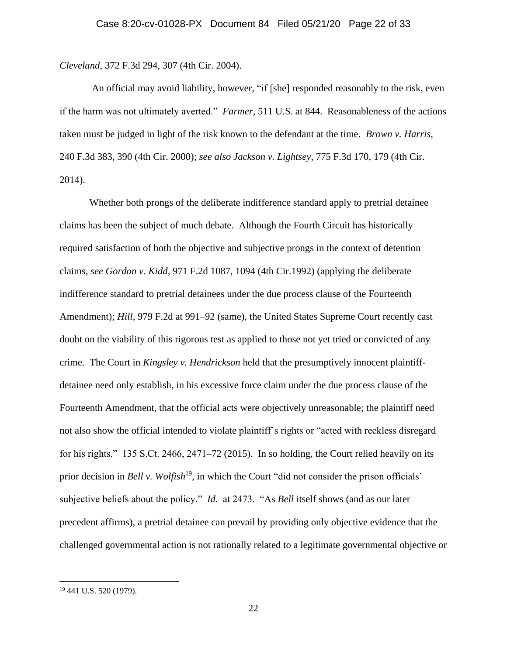*Cleveland*, 372 F.3d 294, 307 (4th Cir. 2004).

An official may avoid liability, however, "if [she] responded reasonably to the risk, even if the harm was not ultimately averted." *Farmer*, 511 U.S. at 844. Reasonableness of the actions taken must be judged in light of the risk known to the defendant at the time. *Brown v. Harris*, 240 F.3d 383, 390 (4th Cir. 2000); *see also Jackson v. Lightsey*, 775 F.3d 170, 179 (4th Cir. 2014).

Whether both prongs of the deliberate indifference standard apply to pretrial detainee claims has been the subject of much debate. Although the Fourth Circuit has historically required satisfaction of both the objective and subjective prongs in the context of detention claims, *see Gordon v. Kidd,* 971 F.2d 1087, 1094 (4th Cir.1992) (applying the deliberate indifference standard to pretrial detainees under the due process clause of the Fourteenth Amendment); *Hill*, 979 F.2d at 991–92 (same), the United States Supreme Court recently cast doubt on the viability of this rigorous test as applied to those not yet tried or convicted of any crime. The Court in *Kingsley v. Hendrickson* held that the presumptively innocent plaintiffdetainee need only establish, in his excessive force claim under the due process clause of the Fourteenth Amendment, that the official acts were objectively unreasonable; the plaintiff need not also show the official intended to violate plaintiff's rights or "acted with reckless disregard for his rights." 135 S.Ct. 2466, 2471–72 (2015). In so holding, the Court relied heavily on its prior decision in *Bell v. Wolfish*<sup>19</sup>, in which the Court "did not consider the prison officials" subjective beliefs about the policy." *Id.* at 2473. "As *Bell* itself shows (and as our later precedent affirms), a pretrial detainee can prevail by providing only objective evidence that the challenged governmental action is not rationally related to a legitimate governmental objective or

<sup>19</sup> 441 U.S. 520 (1979).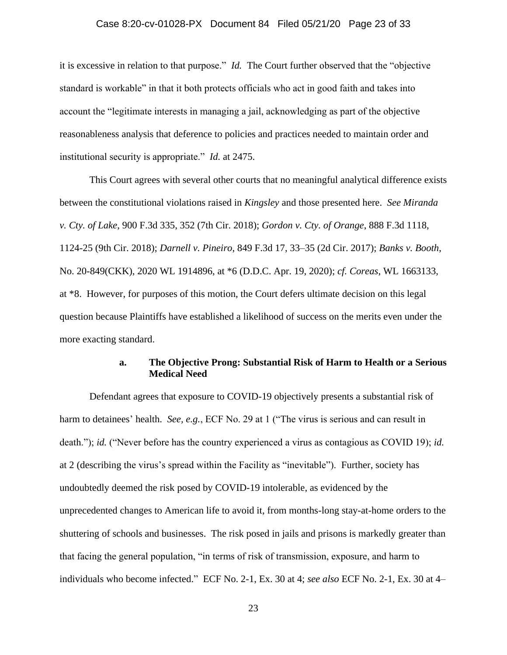# Case 8:20-cv-01028-PX Document 84 Filed 05/21/20 Page 23 of 33

it is excessive in relation to that purpose." *Id.* The Court further observed that the "objective standard is workable" in that it both protects officials who act in good faith and takes into account the "legitimate interests in managing a jail, acknowledging as part of the objective reasonableness analysis that deference to policies and practices needed to maintain order and institutional security is appropriate." *Id.* at 2475.

This Court agrees with several other courts that no meaningful analytical difference exists between the constitutional violations raised in *Kingsley* and those presented here. *See Miranda v. Cty. of Lake*, 900 F.3d 335, 352 (7th Cir. 2018); *Gordon v. Cty. of Orange*, 888 F.3d 1118, 1124-25 (9th Cir. 2018); *Darnell v. Pineiro*, 849 F.3d 17, 33–35 (2d Cir. 2017); *Banks v. Booth*, No. 20-849(CKK), 2020 WL 1914896, at \*6 (D.D.C. Apr. 19, 2020); *cf. Coreas*, WL 1663133, at \*8. However, for purposes of this motion, the Court defers ultimate decision on this legal question because Plaintiffs have established a likelihood of success on the merits even under the more exacting standard.

# **a. The Objective Prong: Substantial Risk of Harm to Health or a Serious Medical Need**

Defendant agrees that exposure to COVID-19 objectively presents a substantial risk of harm to detainees' health. *See, e.g.*, ECF No. 29 at 1 ("The virus is serious and can result in death."); *id.* ("Never before has the country experienced a virus as contagious as COVID 19); *id.* at 2 (describing the virus's spread within the Facility as "inevitable"). Further, society has undoubtedly deemed the risk posed by COVID-19 intolerable, as evidenced by the unprecedented changes to American life to avoid it, from months-long stay-at-home orders to the shuttering of schools and businesses. The risk posed in jails and prisons is markedly greater than that facing the general population, "in terms of risk of transmission, exposure, and harm to individuals who become infected." ECF No. 2-1, Ex. 30 at 4; *see also* ECF No. 2-1, Ex. 30 at 4–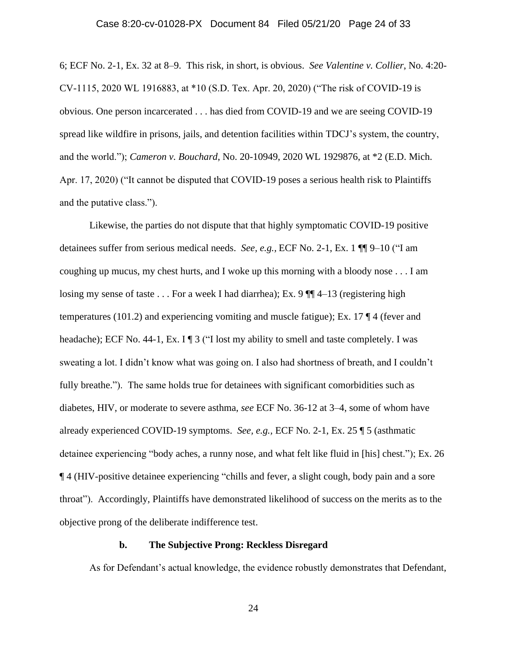## Case 8:20-cv-01028-PX Document 84 Filed 05/21/20 Page 24 of 33

6; ECF No. 2-1, Ex. 32 at 8–9. This risk, in short, is obvious. *See Valentine v. Collier*, No. 4:20- CV-1115, 2020 WL 1916883, at \*10 (S.D. Tex. Apr. 20, 2020) ("The risk of COVID-19 is obvious. One person incarcerated . . . has died from COVID-19 and we are seeing COVID-19 spread like wildfire in prisons, jails, and detention facilities within TDCJ's system, the country, and the world."); *Cameron v. Bouchard*, No. 20-10949, 2020 WL 1929876, at \*2 (E.D. Mich. Apr. 17, 2020) ("It cannot be disputed that COVID-19 poses a serious health risk to Plaintiffs and the putative class.").

Likewise, the parties do not dispute that that highly symptomatic COVID-19 positive detainees suffer from serious medical needs. *See, e.g.,* ECF No. 2-1, Ex. 1 ¶¶ 9–10 ("I am coughing up mucus, my chest hurts, and I woke up this morning with a bloody nose . . . I am losing my sense of taste  $\dots$  For a week I had diarrhea); Ex. 9  $\P$  $\P$  $4$ –13 (registering high temperatures (101.2) and experiencing vomiting and muscle fatigue); Ex. 17  $\P$  4 (fever and headache); ECF No. 44-1, Ex. I ¶ 3 ("I lost my ability to smell and taste completely. I was sweating a lot. I didn't know what was going on. I also had shortness of breath, and I couldn't fully breathe."). The same holds true for detainees with significant comorbidities such as diabetes, HIV, or moderate to severe asthma, *see* ECF No. 36-12 at 3–4, some of whom have already experienced COVID-19 symptoms. *See, e.g.,* ECF No. 2-1, Ex. 25 ¶ 5 (asthmatic detainee experiencing "body aches, a runny nose, and what felt like fluid in [his] chest."); Ex. 26 ¶ 4 (HIV-positive detainee experiencing "chills and fever, a slight cough, body pain and a sore throat"). Accordingly, Plaintiffs have demonstrated likelihood of success on the merits as to the objective prong of the deliberate indifference test.

### **b. The Subjective Prong: Reckless Disregard**

As for Defendant's actual knowledge, the evidence robustly demonstrates that Defendant,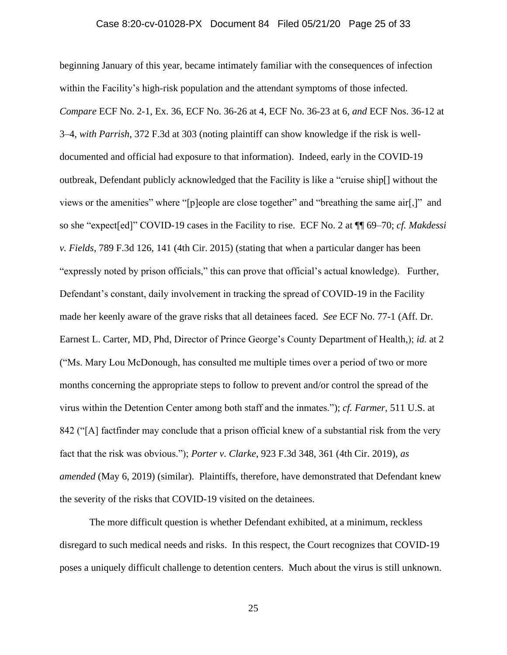# Case 8:20-cv-01028-PX Document 84 Filed 05/21/20 Page 25 of 33

beginning January of this year, became intimately familiar with the consequences of infection within the Facility's high-risk population and the attendant symptoms of those infected. *Compare* ECF No. 2-1, Ex. 36, ECF No. 36-26 at 4, ECF No. 36-23 at 6, *and* ECF Nos. 36-12 at 3–4, *with Parrish*, 372 F.3d at 303 (noting plaintiff can show knowledge if the risk is welldocumented and official had exposure to that information). Indeed, early in the COVID-19 outbreak, Defendant publicly acknowledged that the Facility is like a "cruise ship[] without the views or the amenities" where "[p]eople are close together" and "breathing the same air[,]" and so she "expect[ed]" COVID-19 cases in the Facility to rise. ECF No. 2 at ¶¶ 69–70; *cf. Makdessi v. Fields*, 789 F.3d 126, 141 (4th Cir. 2015) (stating that when a particular danger has been "expressly noted by prison officials," this can prove that official's actual knowledge). Further, Defendant's constant, daily involvement in tracking the spread of COVID-19 in the Facility made her keenly aware of the grave risks that all detainees faced. *See* ECF No. 77-1 (Aff. Dr. Earnest L. Carter, MD, Phd, Director of Prince George's County Department of Health,); *id.* at 2 ("Ms. Mary Lou McDonough, has consulted me multiple times over a period of two or more months concerning the appropriate steps to follow to prevent and/or control the spread of the virus within the Detention Center among both staff and the inmates."); *cf. Farmer*, 511 U.S. at 842 ("[A] factfinder may conclude that a prison official knew of a substantial risk from the very fact that the risk was obvious."); *Porter v. Clarke*, 923 F.3d 348, 361 (4th Cir. 2019), *as amended* (May 6, 2019) (similar). Plaintiffs, therefore, have demonstrated that Defendant knew the severity of the risks that COVID-19 visited on the detainees.

The more difficult question is whether Defendant exhibited, at a minimum, reckless disregard to such medical needs and risks. In this respect, the Court recognizes that COVID-19 poses a uniquely difficult challenge to detention centers. Much about the virus is still unknown.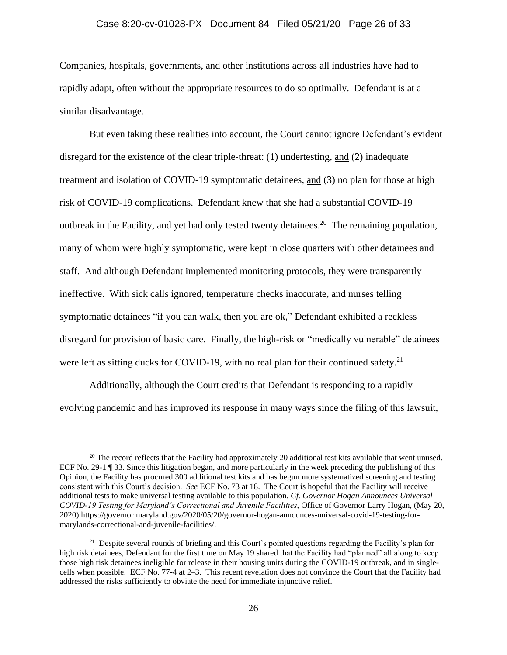## Case 8:20-cv-01028-PX Document 84 Filed 05/21/20 Page 26 of 33

Companies, hospitals, governments, and other institutions across all industries have had to rapidly adapt, often without the appropriate resources to do so optimally. Defendant is at a similar disadvantage.

But even taking these realities into account, the Court cannot ignore Defendant's evident disregard for the existence of the clear triple-threat: (1) undertesting, and (2) inadequate treatment and isolation of COVID-19 symptomatic detainees, and (3) no plan for those at high risk of COVID-19 complications. Defendant knew that she had a substantial COVID-19 outbreak in the Facility, and yet had only tested twenty detainees.<sup>20</sup> The remaining population, many of whom were highly symptomatic, were kept in close quarters with other detainees and staff. And although Defendant implemented monitoring protocols, they were transparently ineffective. With sick calls ignored, temperature checks inaccurate, and nurses telling symptomatic detainees "if you can walk, then you are ok," Defendant exhibited a reckless disregard for provision of basic care. Finally, the high-risk or "medically vulnerable" detainees were left as sitting ducks for COVID-19, with no real plan for their continued safety.<sup>21</sup>

Additionally, although the Court credits that Defendant is responding to a rapidly evolving pandemic and has improved its response in many ways since the filing of this lawsuit,

<sup>&</sup>lt;sup>20</sup> The record reflects that the Facility had approximately 20 additional test kits available that went unused. ECF No. 29-1 ¶ 33. Since this litigation began, and more particularly in the week preceding the publishing of this Opinion, the Facility has procured 300 additional test kits and has begun more systematized screening and testing consistent with this Court's decision. *See* ECF No. 73 at 18. The Court is hopeful that the Facility will receive additional tests to make universal testing available to this population. *Cf. Governor Hogan Announces Universal COVID-19 Testing for Maryland's Correctional and Juvenile Facilities*, Office of Governor Larry Hogan, (May 20, 2020) https://governor maryland.gov/2020/05/20/governor-hogan-announces-universal-covid-19-testing-formarylands-correctional-and-juvenile-facilities/.

<sup>&</sup>lt;sup>21</sup> Despite several rounds of briefing and this Court's pointed questions regarding the Facility's plan for high risk detainees, Defendant for the first time on May 19 shared that the Facility had "planned" all along to keep those high risk detainees ineligible for release in their housing units during the COVID-19 outbreak, and in singlecells when possible. ECF No. 77-4 at 2–3. This recent revelation does not convince the Court that the Facility had addressed the risks sufficiently to obviate the need for immediate injunctive relief.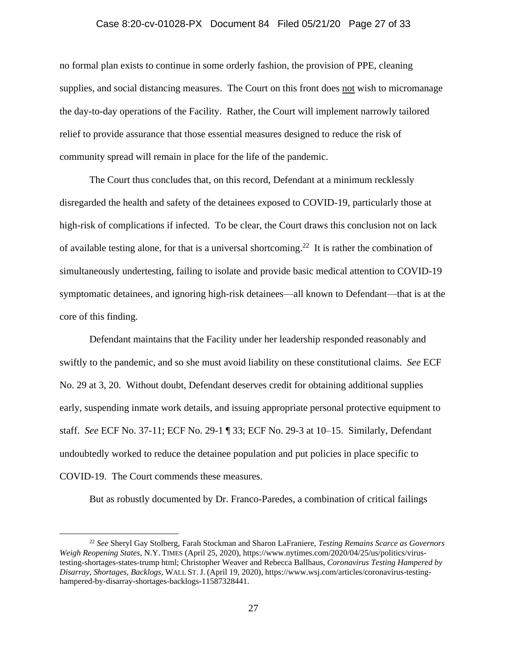## Case 8:20-cv-01028-PX Document 84 Filed 05/21/20 Page 27 of 33

no formal plan exists to continue in some orderly fashion, the provision of PPE, cleaning supplies, and social distancing measures. The Court on this front does not wish to micromanage the day-to-day operations of the Facility. Rather, the Court will implement narrowly tailored relief to provide assurance that those essential measures designed to reduce the risk of community spread will remain in place for the life of the pandemic.

The Court thus concludes that, on this record, Defendant at a minimum recklessly disregarded the health and safety of the detainees exposed to COVID-19, particularly those at high-risk of complications if infected. To be clear, the Court draws this conclusion not on lack of available testing alone, for that is a universal shortcoming.<sup>22</sup> It is rather the combination of simultaneously undertesting, failing to isolate and provide basic medical attention to COVID-19 symptomatic detainees, and ignoring high-risk detainees—all known to Defendant—that is at the core of this finding.

Defendant maintains that the Facility under her leadership responded reasonably and swiftly to the pandemic, and so she must avoid liability on these constitutional claims. *See* ECF No. 29 at 3, 20. Without doubt, Defendant deserves credit for obtaining additional supplies early, suspending inmate work details, and issuing appropriate personal protective equipment to staff. *See* ECF No. 37-11; ECF No. 29-1 ¶ 33; ECF No. 29-3 at 10–15. Similarly, Defendant undoubtedly worked to reduce the detainee population and put policies in place specific to COVID-19. The Court commends these measures.

But as robustly documented by Dr. Franco-Paredes, a combination of critical failings

<sup>22</sup> *See* Sheryl Gay Stolberg, Farah Stockman and Sharon LaFraniere, *Testing Remains Scarce as Governors Weigh Reopening States*, N.Y. TIMES (April 25, 2020), https://www.nytimes.com/2020/04/25/us/politics/virustesting-shortages-states-trump html; Christopher Weaver and Rebecca Ballhaus, *Coronavirus Testing Hampered by Disarray, Shortages, Backlogs*, WALL ST. J. (April 19, 2020), https://www.wsj.com/articles/coronavirus-testinghampered-by-disarray-shortages-backlogs-11587328441.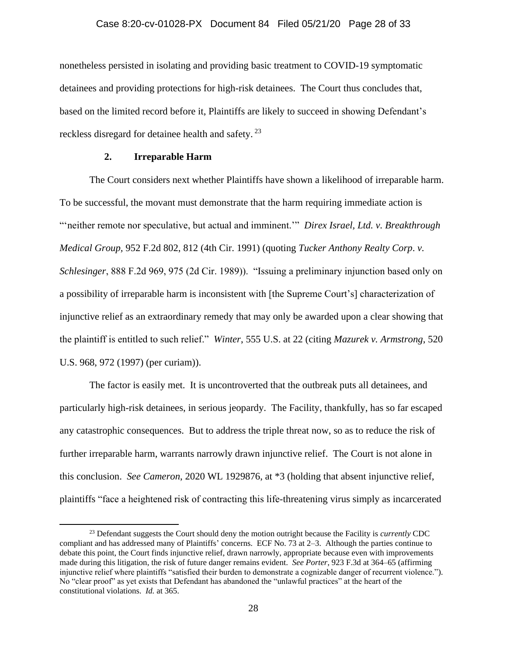nonetheless persisted in isolating and providing basic treatment to COVID-19 symptomatic detainees and providing protections for high-risk detainees. The Court thus concludes that, based on the limited record before it, Plaintiffs are likely to succeed in showing Defendant's reckless disregard for detainee health and safety.<sup>23</sup>

## **2. Irreparable Harm**

The Court considers next whether Plaintiffs have shown a likelihood of irreparable harm. To be successful, the movant must demonstrate that the harm requiring immediate action is "'neither remote nor speculative, but actual and imminent.'" *Direx Israel, Ltd. v. Breakthrough Medical Group,* 952 F.2d 802, 812 (4th Cir. 1991) (quoting *Tucker Anthony Realty Corp*. *v. Schlesinger*, 888 F.2d 969, 975 (2d Cir. 1989)). "Issuing a preliminary injunction based only on a possibility of irreparable harm is inconsistent with [the Supreme Court's] characterization of injunctive relief as an extraordinary remedy that may only be awarded upon a clear showing that the plaintiff is entitled to such relief." *Winter*, 555 U.S. at 22 (citing *Mazurek v. Armstrong*, 520 U.S. 968, 972 (1997) (per curiam)).

The factor is easily met. It is uncontroverted that the outbreak puts all detainees, and particularly high-risk detainees, in serious jeopardy. The Facility, thankfully, has so far escaped any catastrophic consequences. But to address the triple threat now, so as to reduce the risk of further irreparable harm, warrants narrowly drawn injunctive relief. The Court is not alone in this conclusion. *See Cameron*, 2020 WL 1929876, at \*3 (holding that absent injunctive relief, plaintiffs "face a heightened risk of contracting this life-threatening virus simply as incarcerated

<sup>23</sup> Defendant suggests the Court should deny the motion outright because the Facility is *currently* CDC compliant and has addressed many of Plaintiffs' concerns. ECF No. 73 at 2–3. Although the parties continue to debate this point, the Court finds injunctive relief, drawn narrowly, appropriate because even with improvements made during this litigation, the risk of future danger remains evident. *See Porter*, 923 F.3d at 364–65 (affirming injunctive relief where plaintiffs "satisfied their burden to demonstrate a cognizable danger of recurrent violence."). No "clear proof" as yet exists that Defendant has abandoned the "unlawful practices" at the heart of the constitutional violations. *Id.* at 365.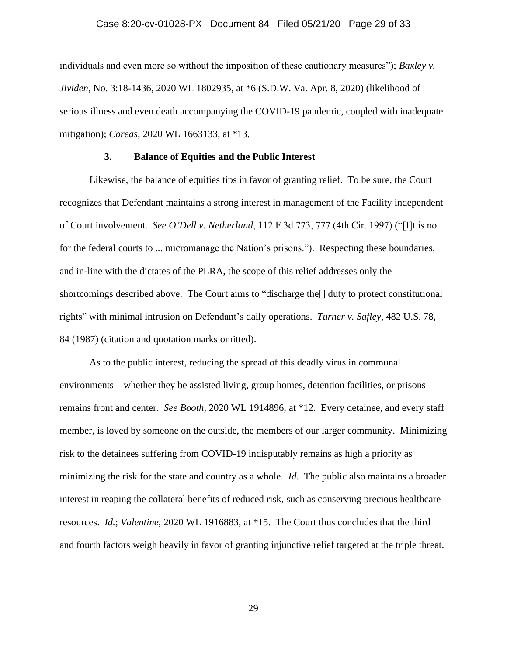### Case 8:20-cv-01028-PX Document 84 Filed 05/21/20 Page 29 of 33

individuals and even more so without the imposition of these cautionary measures"); *Baxley v. Jividen*, No. 3:18-1436, 2020 WL 1802935, at \*6 (S.D.W. Va. Apr. 8, 2020) (likelihood of serious illness and even death accompanying the COVID-19 pandemic, coupled with inadequate mitigation); *Coreas*, 2020 WL 1663133, at \*13.

### **3. Balance of Equities and the Public Interest**

Likewise, the balance of equities tips in favor of granting relief. To be sure, the Court recognizes that Defendant maintains a strong interest in management of the Facility independent of Court involvement. *See O'Dell v. Netherland*, 112 F.3d 773, 777 (4th Cir. 1997) ("[I]t is not for the federal courts to ... micromanage the Nation's prisons."). Respecting these boundaries, and in-line with the dictates of the PLRA, the scope of this relief addresses only the shortcomings described above. The Court aims to "discharge the[] duty to protect constitutional rights" with minimal intrusion on Defendant's daily operations. *Turner v. Safley*, 482 U.S. 78, 84 (1987) (citation and quotation marks omitted).

As to the public interest, reducing the spread of this deadly virus in communal environments—whether they be assisted living, group homes, detention facilities, or prisons remains front and center. *See Booth*, 2020 WL 1914896, at \*12. Every detainee, and every staff member, is loved by someone on the outside, the members of our larger community. Minimizing risk to the detainees suffering from COVID-19 indisputably remains as high a priority as minimizing the risk for the state and country as a whole. *Id.* The public also maintains a broader interest in reaping the collateral benefits of reduced risk, such as conserving precious healthcare resources. *Id.*; *Valentine*, 2020 WL 1916883, at \*15. The Court thus concludes that the third and fourth factors weigh heavily in favor of granting injunctive relief targeted at the triple threat.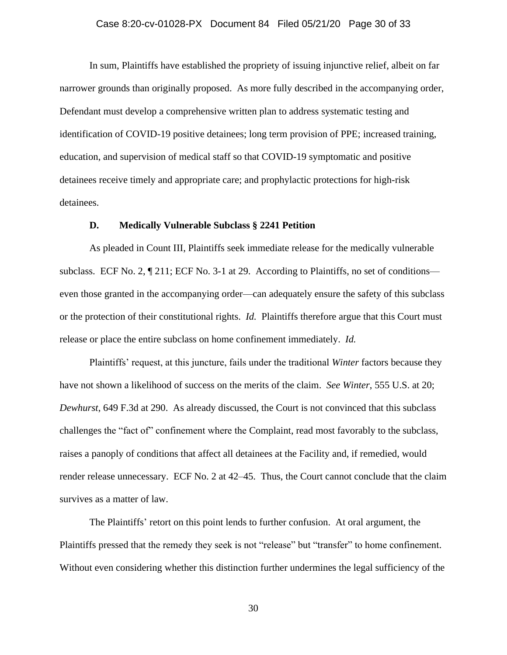### Case 8:20-cv-01028-PX Document 84 Filed 05/21/20 Page 30 of 33

In sum, Plaintiffs have established the propriety of issuing injunctive relief, albeit on far narrower grounds than originally proposed. As more fully described in the accompanying order, Defendant must develop a comprehensive written plan to address systematic testing and identification of COVID-19 positive detainees; long term provision of PPE; increased training, education, and supervision of medical staff so that COVID-19 symptomatic and positive detainees receive timely and appropriate care; and prophylactic protections for high-risk detainees.

## **D. Medically Vulnerable Subclass § 2241 Petition**

As pleaded in Count III, Plaintiffs seek immediate release for the medically vulnerable subclass. ECF No. 2,  $\P$  211; ECF No. 3-1 at 29. According to Plaintiffs, no set of conditions even those granted in the accompanying order—can adequately ensure the safety of this subclass or the protection of their constitutional rights. *Id.* Plaintiffs therefore argue that this Court must release or place the entire subclass on home confinement immediately. *Id.*

Plaintiffs' request, at this juncture, fails under the traditional *Winter* factors because they have not shown a likelihood of success on the merits of the claim. *See Winter*, 555 U.S. at 20; *Dewhurst*, 649 F.3d at 290. As already discussed, the Court is not convinced that this subclass challenges the "fact of" confinement where the Complaint, read most favorably to the subclass, raises a panoply of conditions that affect all detainees at the Facility and, if remedied, would render release unnecessary. ECF No. 2 at 42–45. Thus, the Court cannot conclude that the claim survives as a matter of law.

The Plaintiffs' retort on this point lends to further confusion. At oral argument, the Plaintiffs pressed that the remedy they seek is not "release" but "transfer" to home confinement. Without even considering whether this distinction further undermines the legal sufficiency of the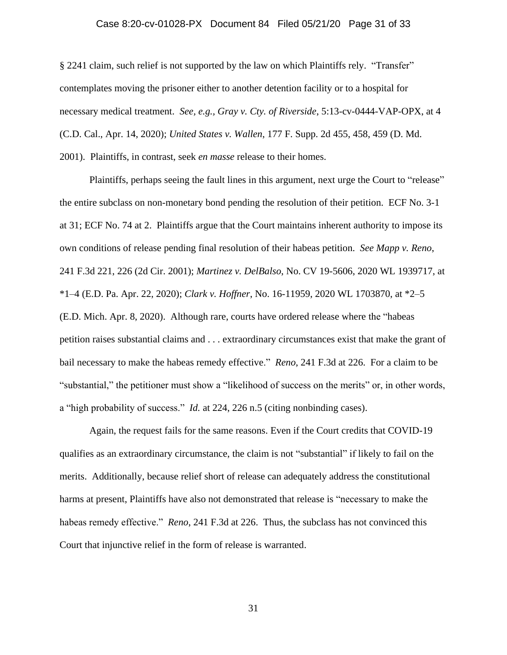### Case 8:20-cv-01028-PX Document 84 Filed 05/21/20 Page 31 of 33

§ 2241 claim, such relief is not supported by the law on which Plaintiffs rely. "Transfer" contemplates moving the prisoner either to another detention facility or to a hospital for necessary medical treatment. *See, e.g., Gray v. Cty. of Riverside*, 5:13-cv-0444-VAP-OPX, at 4 (C.D. Cal., Apr. 14, 2020); *United States v. Wallen*, 177 F. Supp. 2d 455, 458, 459 (D. Md. 2001). Plaintiffs, in contrast, seek *en masse* release to their homes.

Plaintiffs, perhaps seeing the fault lines in this argument, next urge the Court to "release" the entire subclass on non-monetary bond pending the resolution of their petition. ECF No. 3-1 at 31; ECF No. 74 at 2. Plaintiffs argue that the Court maintains inherent authority to impose its own conditions of release pending final resolution of their habeas petition. *See Mapp v. Reno*, 241 F.3d 221, 226 (2d Cir. 2001); *Martinez v. DelBalso*, No. CV 19-5606, 2020 WL 1939717, at \*1–4 (E.D. Pa. Apr. 22, 2020); *Clark v. Hoffner*, No. 16-11959, 2020 WL 1703870, at \*2–5 (E.D. Mich. Apr. 8, 2020). Although rare, courts have ordered release where the "habeas petition raises substantial claims and . . . extraordinary circumstances exist that make the grant of bail necessary to make the habeas remedy effective." *Reno*, 241 F.3d at 226. For a claim to be "substantial," the petitioner must show a "likelihood of success on the merits" or, in other words, a "high probability of success." *Id.* at 224, 226 n.5 (citing nonbinding cases).

Again, the request fails for the same reasons. Even if the Court credits that COVID-19 qualifies as an extraordinary circumstance, the claim is not "substantial" if likely to fail on the merits. Additionally, because relief short of release can adequately address the constitutional harms at present, Plaintiffs have also not demonstrated that release is "necessary to make the habeas remedy effective." *Reno*, 241 F.3d at 226. Thus, the subclass has not convinced this Court that injunctive relief in the form of release is warranted.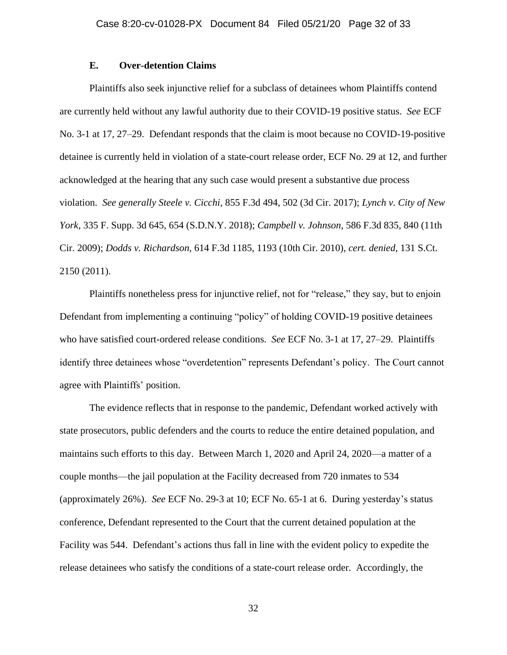# **E. Over-detention Claims**

Plaintiffs also seek injunctive relief for a subclass of detainees whom Plaintiffs contend are currently held without any lawful authority due to their COVID-19 positive status. *See* ECF No. 3-1 at 17, 27–29. Defendant responds that the claim is moot because no COVID-19-positive detainee is currently held in violation of a state-court release order, ECF No. 29 at 12, and further acknowledged at the hearing that any such case would present a substantive due process violation. *See generally Steele v. Cicchi*, 855 F.3d 494, 502 (3d Cir. 2017); *Lynch v. City of New York*, 335 F. Supp. 3d 645, 654 (S.D.N.Y. 2018); *Campbell v. Johnson*, 586 F.3d 835, 840 (11th Cir. 2009); *Dodds v. Richardson*, 614 F.3d 1185, 1193 (10th Cir. 2010), *cert. denied*, 131 S.Ct. 2150 (2011).

Plaintiffs nonetheless press for injunctive relief, not for "release," they say, but to enjoin Defendant from implementing a continuing "policy" of holding COVID-19 positive detainees who have satisfied court-ordered release conditions. *See* ECF No. 3-1 at 17, 27–29. Plaintiffs identify three detainees whose "overdetention" represents Defendant's policy. The Court cannot agree with Plaintiffs' position.

The evidence reflects that in response to the pandemic, Defendant worked actively with state prosecutors, public defenders and the courts to reduce the entire detained population, and maintains such efforts to this day. Between March 1, 2020 and April 24, 2020—a matter of a couple months—the jail population at the Facility decreased from 720 inmates to 534 (approximately 26%). *See* ECF No. 29-3 at 10; ECF No. 65-1 at 6. During yesterday's status conference, Defendant represented to the Court that the current detained population at the Facility was 544. Defendant's actions thus fall in line with the evident policy to expedite the release detainees who satisfy the conditions of a state-court release order. Accordingly, the